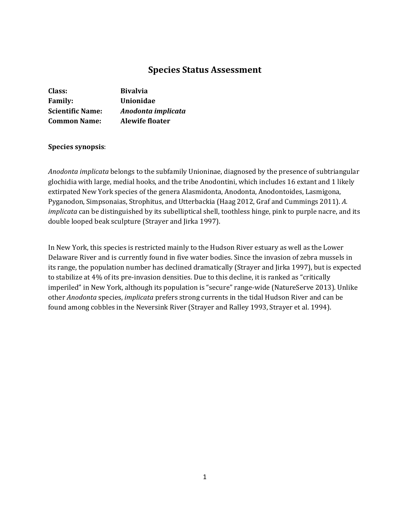# **Species Status Assessment**

| Class:                  | <b>Bivalvia</b>        |
|-------------------------|------------------------|
| <b>Family:</b>          | Unionidae              |
| <b>Scientific Name:</b> | Anodonta implicata     |
| <b>Common Name:</b>     | <b>Alewife floater</b> |

# **Species synopsis**:

*Anodonta implicata* belongs to the subfamily Unioninae, diagnosed by the presence of subtriangular glochidia with large, medial hooks, and the tribe Anodontini, which includes 16 extant and 1 likely extirpated New York species of the genera Alasmidonta, Anodonta, Anodontoides, Lasmigona, Pyganodon, Simpsonaias, Strophitus, and Utterbackia (Haag 2012, Graf and Cummings 2011). *A. implicata* can be distinguished by its subelliptical shell, toothless hinge, pink to purple nacre, and its double looped beak sculpture (Strayer and Jirka 1997).

In New York, this species is restricted mainly to the Hudson River estuary as well as the Lower Delaware River and is currently found in five water bodies. Since the invasion of zebra mussels in its range, the population number has declined dramatically (Strayer and Jirka 1997), but is expected to stabilize at 4% of its pre-invasion densities. Due to this decline, it is ranked as "critically imperiled" in New York, although its population is "secure" range-wide (NatureServe 2013). Unlike other *Anodonta* species, *implicata* prefers strong currents in the tidal Hudson River and can be found among cobbles in the Neversink River (Strayer and Ralley 1993, Strayer et al. 1994).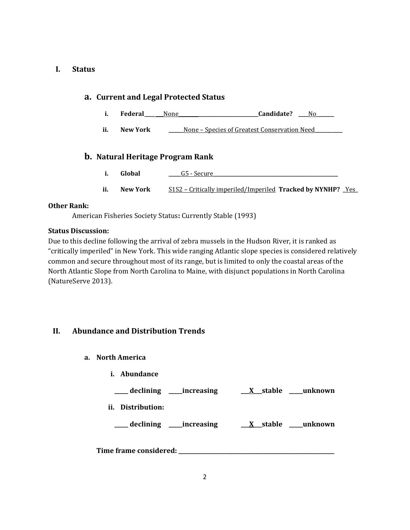# **I. Status**

# **i. Federal\_\_\_\_ \_\_\_**None**\_\_\_\_\_\_\_\_\_\_\_\_\_\_\_\_\_\_\_\_\_\_\_\_\_\_\_\_\_\_\_\_Candidate? \_\_\_\_**No**\_\_\_\_\_\_\_ ii. New York** S1S2 – Critically imperiled/Imperiled **Tracked by NYNHP? \_**Yes**\_ a. Current and Legal Protected Status ii. New York \_\_\_\_\_\_**None – Species of Greatest Conservation Need**\_\_\_\_\_\_\_\_\_\_\_ b. Natural Heritage Program Rank i. Global C5** - Secure

# **Other Rank:**

American Fisheries Society Status**:** Currently Stable (1993)

# **Status Discussion:**

Due to this decline following the arrival of zebra mussels in the Hudson River, it is ranked as "critically imperiled" in New York. This wide ranging Atlantic slope species is considered relatively common and secure throughout most of its range, but is limited to only the coastal areas of the North Atlantic Slope from North Carolina to Maine, with disjunct populations in North Carolina (NatureServe 2013).

# **II. Abundance and Distribution Trends**

- **a. North America** 
	- **i. Abundance**

**\_\_\_\_\_ declining \_\_\_\_\_increasing \_\_\_X\_\_\_stable \_\_\_\_\_unknown** 

**ii. Distribution:** 

**\_\_\_\_\_ declining \_\_\_\_\_increasing \_\_\_X\_\_\_stable \_\_\_\_\_unknown** 

**Time frame considered: \_\_\_\_\_\_\_\_\_\_\_\_\_\_\_\_\_\_\_\_\_\_\_\_\_\_\_\_\_\_\_\_\_\_\_\_\_\_\_\_\_\_\_\_\_\_\_\_\_\_\_\_\_\_\_\_\_**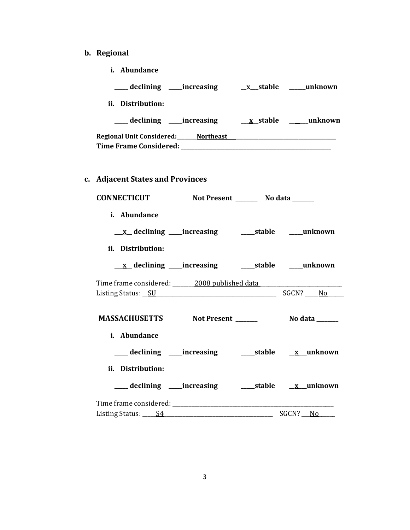# **b. Regional**

**i. Abundance** 

| ii. Distribution:                                                                                              |  |                 |
|----------------------------------------------------------------------------------------------------------------|--|-----------------|
|                                                                                                                |  |                 |
| Regional Unit Considered: Mortheast Manual Manual Manual Manual Manual Manual Manual Manual Manual Manual Manu |  |                 |
| c. Adjacent States and Provinces                                                                               |  |                 |
| CONNECTICUT Not Present ________ No data ______                                                                |  |                 |
| i. Abundance                                                                                                   |  |                 |
|                                                                                                                |  |                 |
| ii. Distribution:                                                                                              |  |                 |
|                                                                                                                |  |                 |
| Time frame considered: _______ 2008 published data ______________                                              |  |                 |
|                                                                                                                |  |                 |
| MASSACHUSETTS Not Present ______                                                                               |  | No data _______ |
| i. Abundance                                                                                                   |  |                 |
|                                                                                                                |  |                 |
| ii. Distribution:                                                                                              |  |                 |
|                                                                                                                |  |                 |
|                                                                                                                |  |                 |
| Listing Status: _____ S4                                                                                       |  | SGCN? No        |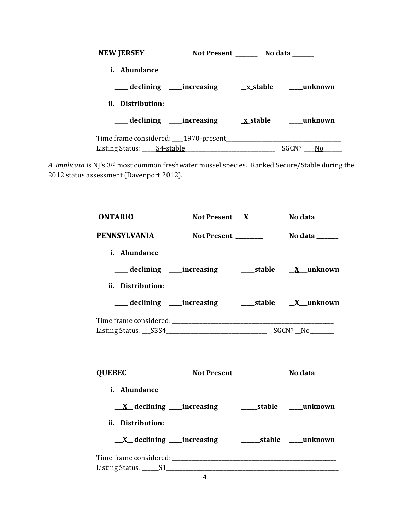| <b>NEW JERSEY</b>                     | Not Present _______ No data ______ |
|---------------------------------------|------------------------------------|
| <i>i.</i> Abundance                   |                                    |
| declining increasing <u>x</u> _stable | unknown                            |
| ii. Distribution:                     |                                    |
| __declining ____increasing            | unknown<br><u>x</u> stable         |
| Time frame considered: 1970-present   |                                    |
| Listing Status: _____ S4-stable       | SGCN?<br>N <sub>0</sub>            |

*A. implicata* is NJ's 3rd most common freshwater mussel species. Ranked Secure/Stable during the 2012 status assessment (Davenport 2012).

| <b>ONTARIO</b>                                                           | Not Present $X$      | No data $\_\_\_\_\_\_\_\_\_\_\_\_\$ |
|--------------------------------------------------------------------------|----------------------|-------------------------------------|
| <b>PENNSYLVANIA</b>                                                      | Not Present ________ | No data _______                     |
| i. Abundance                                                             |                      |                                     |
| ___ declining ____increasing _____________stable ____ <u>X__</u> unknown |                      |                                     |
| ii. Distribution:                                                        |                      |                                     |
| ___ declining ____ increasing _______ stable ___ X__unknown              |                      |                                     |
|                                                                          |                      |                                     |
| <b>QUEBEC</b>                                                            |                      | Not Present No data                 |
| i. Abundance                                                             |                      |                                     |
|                                                                          |                      |                                     |
| ii. Distribution:                                                        |                      |                                     |
| $\underline{X}$ declining _____ increasing                               |                      | _________stable _____unknown        |
|                                                                          |                      |                                     |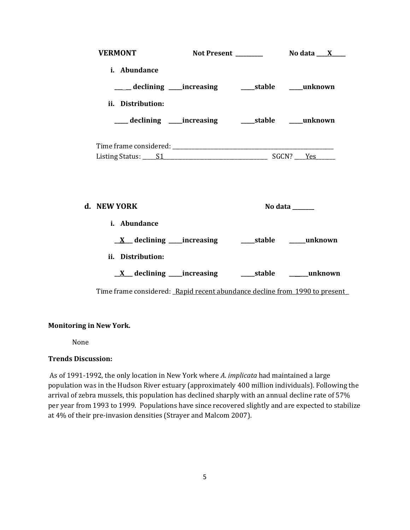| <b>VERMONT</b>    |                                                            |         |
|-------------------|------------------------------------------------------------|---------|
| i. Abundance      |                                                            |         |
|                   | ____ declining ____ increasing ______ stable _____ unknown |         |
| ii. Distribution: |                                                            |         |
|                   | ___ declining ____increasing ______stable ____unknown      |         |
|                   |                                                            |         |
| d. NEW YORK       |                                                            | No data |
| i. Abundance      |                                                            |         |
|                   |                                                            |         |
| ii. Distribution: |                                                            |         |
|                   |                                                            |         |
|                   |                                                            |         |

Time frame considered: Rapid recent abundance decline from 1990 to present

# **Monitoring in New York.**

None

# **Trends Discussion:**

As of 1991-1992, the only location in New York where *A. implicata* had maintained a large population was in the Hudson River estuary (approximately 400 million individuals). Following the arrival of zebra mussels, this population has declined sharply with an annual decline rate of 57% per year from 1993 to 1999. Populations have since recovered slightly and are expected to stabilize at 4% of their pre-invasion densities (Strayer and Malcom 2007).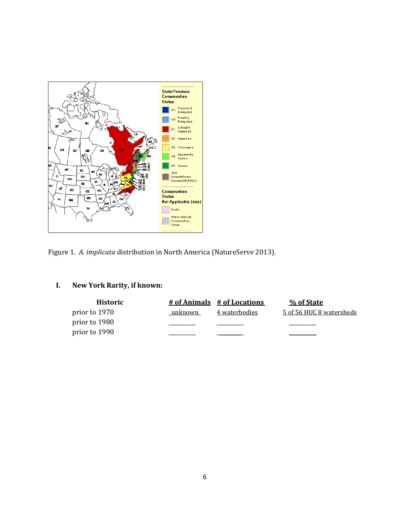

Figure 1. *A. implicata* distribution in North America (NatureServe 2013).

# **I. New York Rarity, if known:**

| <b>Historic</b> |         | # of Animals # of Locations | % of State               |
|-----------------|---------|-----------------------------|--------------------------|
| prior to 1970   | unknown | 4 waterbodies               | 5 of 56 HUC 8 watersheds |
| prior to 1980   |         |                             |                          |
| prior to 1990   |         |                             |                          |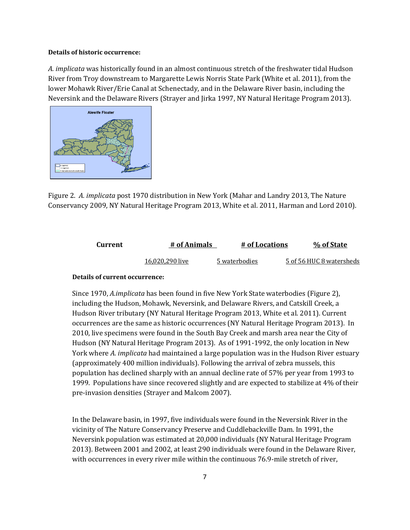#### **Details of historic occurrence:**

*A. implicata* was historically found in an almost continuous stretch of the freshwater tidal Hudson River from Troy downstream to Margarette Lewis Norris State Park (White et al. 2011), from the lower Mohawk River/Erie Canal at Schenectady, and in the Delaware River basin, including the Neversink and the Delaware Rivers (Strayer and Jirka 1997, NY Natural Heritage Program 2013).



Figure 2. *A. implicata* post 1970 distribution in New York (Mahar and Landry 2013, The Nature Conservancy 2009, NY Natural Heritage Program 2013, White et al. 2011, Harman and Lord 2010).

| Current | # of Animals    | # of Locations | % of State               |
|---------|-----------------|----------------|--------------------------|
|         | 16,020,290 live | 5 waterbodies  | 5 of 56 HUC 8 watersheds |

#### **Details of current occurrence:**

 Hudson (NY Natural Heritage Program 2013). As of 1991-1992, the only location in New Since 1970, *A.implicata* has been found in five New York State waterbodies (Figure 2), including the Hudson, Mohawk, Neversink, and Delaware Rivers, and Catskill Creek, a Hudson River tributary (NY Natural Heritage Program 2013, White et al. 2011). Current occurrences are the same as historic occurrences (NY Natural Heritage Program 2013). In 2010, live specimens were found in the South Bay Creek and marsh area near the City of York where *A. implicata* had maintained a large population was in the Hudson River estuary (approximately 400 million individuals). Following the arrival of zebra mussels, this population has declined sharply with an annual decline rate of 57% per year from 1993 to 1999. Populations have since recovered slightly and are expected to stabilize at 4% of their pre-invasion densities (Strayer and Malcom 2007).

Neversink population was estimated at 20,000 individuals (NY Natural Heritage Program In the Delaware basin, in 1997, five individuals were found in the Neversink River in the vicinity of The Nature Conservancy Preserve and Cuddlebackville Dam. In 1991, the 2013). Between 2001 and 2002, at least 290 individuals were found in the Delaware River, with occurrences in every river mile within the continuous 76.9-mile stretch of river,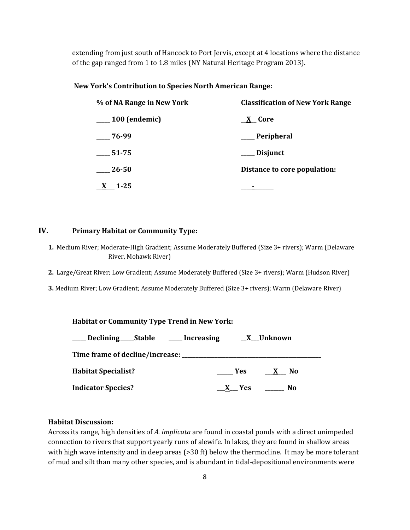extending from just south of Hancock to Port Jervis, except at 4 locations where the distance of the gap ranged from 1 to 1.8 miles (NY Natural Heritage Program 2013).

#### **New York's Contribution to Species North American Range:**

| % of NA Range in New York      | <b>Classification of New York Range</b> |  |  |
|--------------------------------|-----------------------------------------|--|--|
| $\hspace{1.5cm}$ 100 (endemic) | <u>_X</u> _Core                         |  |  |
| $-76-99$                       | __ Peripheral                           |  |  |
| 51-75                          | ___ Disjunct                            |  |  |
| 26-50                          | Distance to core population:            |  |  |
| $1 - 25$                       |                                         |  |  |

# **IV. Primary Habitat or Community Type:**

- **1.** Medium River; Moderate-High Gradient; Assume Moderately Buffered (Size 3+ rivers); Warm (Delaware River, Mohawk River)
- **2.** Large/Great River; Low Gradient; Assume Moderately Buffered (Size 3+ rivers); Warm (Hudson River)
- **3.** Medium River; Low Gradient; Assume Moderately Buffered (Size 3+ rivers); Warm (Delaware River)

| <b>Habitat or Community Type Trend in New York:</b>           |            |  |  |  |
|---------------------------------------------------------------|------------|--|--|--|
| ___ Declining ___ Stable ____ Increasing ___ <u>X</u> Unknown |            |  |  |  |
|                                                               |            |  |  |  |
| <b>Habitat Specialist?</b>                                    | $Yes$ X No |  |  |  |
| <b>Indicator Species?</b>                                     | X Yes No   |  |  |  |

#### **Habitat Discussion:**

Across its range, high densities of *A. implicata* are found in coastal ponds with a direct unimpeded connection to rivers that support yearly runs of alewife. In lakes, they are found in shallow areas with high wave intensity and in deep areas (>30 ft) below the thermocline. It may be more tolerant of mud and silt than many other species, and is abundant in tidal-depositional environments were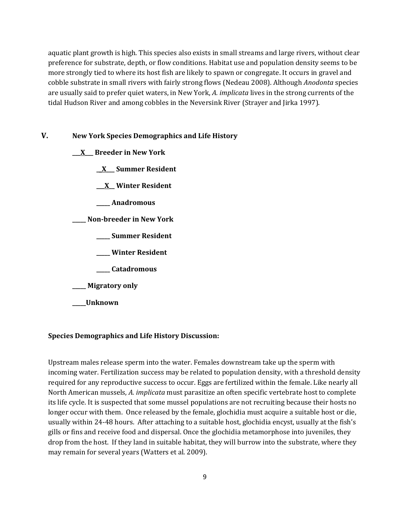aquatic plant growth is high. This species also exists in small streams and large rivers, without clear preference for substrate, depth, or flow conditions. Habitat use and population density seems to be more strongly tied to where its host fish are likely to spawn or congregate. It occurs in gravel and cobble substrate in small rivers with fairly strong flows (Nedeau 2008). Although *Anodonta* species are usually said to prefer quiet waters, in New York, *A. implicata* lives in the strong currents of the tidal Hudson River and among cobbles in the Neversink River (Strayer and Jirka 1997).

### **V. New York Species Demographics and Life History**

- **\_\_\_X\_\_\_ Breeder in New York** 
	- **\_\_X\_\_\_ Summer Resident**
	- **\_\_\_X\_\_ Winter Resident**
	- **\_\_\_\_\_ Anadromous**

**\_\_\_\_\_ Non-breeder in New York** 

- **\_\_\_\_\_ Summer Resident**
- **\_\_\_\_\_ Winter Resident**
- **\_\_\_\_\_ Catadromous**
- **\_\_\_\_\_ Migratory only**
- **\_\_\_\_\_Unknown**

#### **Species Demographics and Life History Discussion:**

Upstream males release sperm into the water. Females downstream take up the sperm with incoming water. Fertilization success may be related to population density, with a threshold density required for any reproductive success to occur. Eggs are fertilized within the female. Like nearly all North American mussels, *A. implicata* must parasitize an often specific vertebrate host to complete its life cycle. It is suspected that some mussel populations are not recruiting because their hosts no longer occur with them. Once released by the female, glochidia must acquire a suitable host or die, usually within 24-48 hours. After attaching to a suitable host, glochidia encyst, usually at the fish's gills or fins and receive food and dispersal. Once the glochidia metamorphose into juveniles, they drop from the host. If they land in suitable habitat, they will burrow into the substrate, where they may remain for several years (Watters et al. 2009).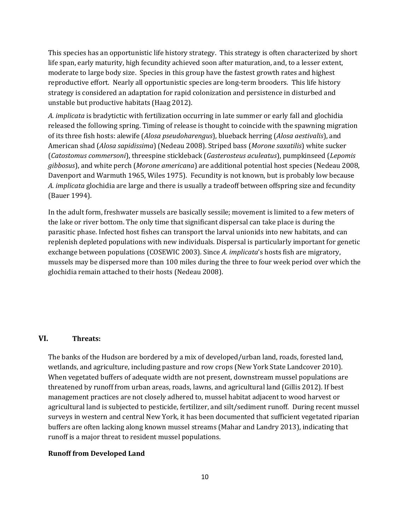unstable but productive habitats (Haag 2012). This species has an opportunistic life history strategy. This strategy is often characterized by short life span, early maturity, high fecundity achieved soon after maturation, and, to a lesser extent, moderate to large body size. Species in this group have the fastest growth rates and highest reproductive effort. Nearly all opportunistic species are long-term brooders. This life history strategy is considered an adaptation for rapid colonization and persistence in disturbed and

 Davenport and Warmuth 1965, Wiles 1975). Fecundity is not known, but is probably low because *A. implicata* is bradytictic with fertilization occurring in late summer or early fall and glochidia released the following spring. Timing of release is thought to coincide with the spawning migration of its three fish hosts: alewife (*Alosa pseudoharengus*), blueback herring (*Alosa aestivalis*), and American shad (*Alosa sapidissima*) (Nedeau 2008). Striped bass (*Morone saxatilis*) white sucker (*Catostomus commersoni*), threespine stickleback (*Gasterosteus aculeatus*), pumpkinseed (*Lepomis gibbosus*), and white perch (*Morone americana*) are additional potential host species (Nedeau 2008, *A. implicata* glochidia are large and there is usually a tradeoff between offspring size and fecundity (Bauer 1994).

In the adult form, freshwater mussels are basically sessile; movement is limited to a few meters of the lake or river bottom. The only time that significant dispersal can take place is during the parasitic phase. Infected host fishes can transport the larval unionids into new habitats, and can replenish depleted populations with new individuals. Dispersal is particularly important for genetic exchange between populations (COSEWIC 2003). Since *A. implicata*'s hosts fish are migratory, mussels may be dispersed more than 100 miles during the three to four week period over which the glochidia remain attached to their hosts (Nedeau 2008).

# **VI. Threats:**

The banks of the Hudson are bordered by a mix of developed/urban land, roads, forested land, wetlands, and agriculture, including pasture and row crops (New York State Landcover 2010). When vegetated buffers of adequate width are not present, downstream mussel populations are threatened by runoff from urban areas, roads, lawns, and agricultural land (Gillis 2012). If best management practices are not closely adhered to, mussel habitat adjacent to wood harvest or agricultural land is subjected to pesticide, fertilizer, and silt/sediment runoff. During recent mussel surveys in western and central New York, it has been documented that sufficient vegetated riparian buffers are often lacking along known mussel streams (Mahar and Landry 2013), indicating that runoff is a major threat to resident mussel populations.

#### **Runoff from Developed Land**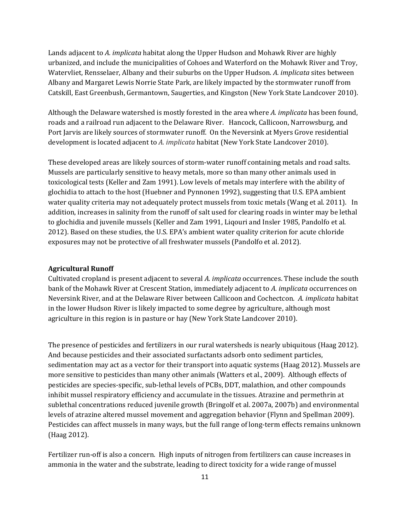Lands adjacent to *A. implicata* habitat along the Upper Hudson and Mohawk River are highly urbanized, and include the municipalities of Cohoes and Waterford on the Mohawk River and Troy, Watervliet, Rensselaer, Albany and their suburbs on the Upper Hudson. *A. implicata* sites between Albany and Margaret Lewis Norrie State Park, are likely impacted by the stormwater runoff from Catskill, East Greenbush, Germantown, Saugerties, and Kingston (New York State Landcover 2010).

 roads and a railroad run adjacent to the Delaware River. Hancock, Callicoon, Narrowsburg, and Although the Delaware watershed is mostly forested in the area where *A. implicata* has been found, Port Jarvis are likely sources of stormwater runoff. On the Neversink at Myers Grove residential development is located adjacent to *A. implicata* habitat (New York State Landcover 2010).

These developed areas are likely sources of storm-water runoff containing metals and road salts. Mussels are particularly sensitive to heavy metals, more so than many other animals used in toxicological tests (Keller and Zam 1991). Low levels of metals may interfere with the ability of glochidia to attach to the host (Huebner and Pynnonen 1992), suggesting that U.S. EPA ambient water quality criteria may not adequately protect mussels from toxic metals (Wang et al. 2011). In addition, increases in salinity from the runoff of salt used for clearing roads in winter may be lethal to glochidia and juvenile mussels (Keller and Zam 1991, Liqouri and Insler 1985, Pandolfo et al. 2012). Based on these studies, the U.S. EPA's ambient water quality criterion for acute chloride exposures may not be protective of all freshwater mussels (Pandolfo et al. 2012).

#### **Agricultural Runoff**

Cultivated cropland is present adjacent to several *A. implicata* occurrences. These include the south bank of the Mohawk River at Crescent Station, immediately adjacent to *A. implicata* occurrences on Neversink River, and at the Delaware River between Callicoon and Cochectcon. *A. implicata* habitat in the lower Hudson River is likely impacted to some degree by agriculture, although most agriculture in this region is in pasture or hay (New York State Landcover 2010).

The presence of pesticides and fertilizers in our rural watersheds is nearly ubiquitous (Haag 2012). And because pesticides and their associated surfactants adsorb onto sediment particles, sedimentation may act as a vector for their transport into aquatic systems (Haag 2012). Mussels are more sensitive to pesticides than many other animals (Watters et al., 2009). Although effects of pesticides are species-specific, sub-lethal levels of PCBs, DDT, malathion, and other compounds inhibit mussel respiratory efficiency and accumulate in the tissues. Atrazine and permethrin at sublethal concentrations reduced juvenile growth (Bringolf et al. 2007a, 2007b) and environmental levels of atrazine altered mussel movement and aggregation behavior (Flynn and Spellman 2009). Pesticides can affect mussels in many ways, but the full range of long-term effects remains unknown (Haag 2012).

Fertilizer run-off is also a concern. High inputs of nitrogen from fertilizers can cause increases in ammonia in the water and the substrate, leading to direct toxicity for a wide range of mussel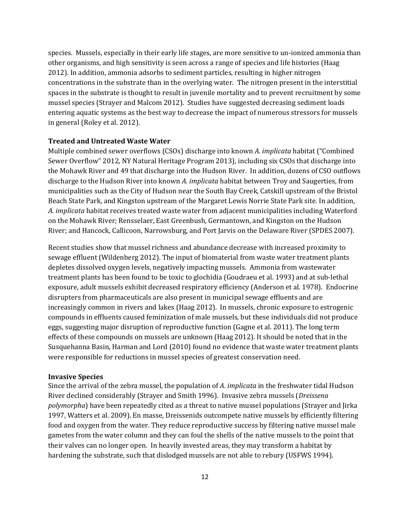species. Mussels, especially in their early life stages, are more sensitive to un-ionized ammonia than other organisms, and high sensitivity is seen across a range of species and life histories (Haag 2012). In addition, ammonia adsorbs to sediment particles, resulting in higher nitrogen concentrations in the substrate than in the overlying water. The nitrogen present in the interstitial spaces in the substrate is thought to result in juvenile mortality and to prevent recruitment by some mussel species (Strayer and Malcom 2012). Studies have suggested decreasing sediment loads entering aquatic systems as the best way to decrease the impact of numerous stressors for mussels in general (Roley et al. 2012).

#### **Treated and Untreated Waste Water**

Multiple combined sewer overflows (CSOs) discharge into known *A. implicata* habitat ("Combined Sewer Overflow" 2012, NY Natural Heritage Program 2013), including six CSOs that discharge into the Mohawk River and 49 that discharge into the Hudson River. In addition, dozens of CSO outflows discharge to the Hudson River into known *A. implicata* habitat between Troy and Saugerties, from municipalities such as the City of Hudson near the South Bay Creek, Catskill upstream of the Bristol Beach State Park, and Kingston upstream of the Margaret Lewis Norrie State Park site. In addition, *A. implicata* habitat receives treated waste water from adjacent municipalities including Waterford on the Mohawk River; Rensselaer, East Greenbush, Germantown, and Kingston on the Hudson River; and Hancock, Callicoon, Narrowsburg, and Port Jarvis on the Delaware River (SPDES 2007).

Recent studies show that mussel richness and abundance decrease with increased proximity to sewage effluent (Wildenberg 2012). The input of biomaterial from waste water treatment plants depletes dissolved oxygen levels, negatively impacting mussels. Ammonia from wastewater treatment plants has been found to be toxic to glochidia (Goudraeu et al. 1993) and at sub-lethal exposure, adult mussels exhibit decreased respiratory efficiency (Anderson et al*.* 1978). Endocrine disrupters from pharmaceuticals are also present in municipal sewage effluents and are increasingly common in rivers and lakes (Haag 2012). In mussels, chronic exposure to estrogenic compounds in effluents caused feminization of male mussels, but these individuals did not produce eggs, suggesting major disruption of reproductive function (Gagne et al. 2011). The long term effects of these compounds on mussels are unknown (Haag 2012). It should be noted that in the Susquehanna Basin, Harman and Lord (2010) found no evidence that waste water treatment plants were responsible for reductions in mussel species of greatest conservation need.

#### **Invasive Species**

 River declined considerably (Strayer and Smith 1996). Invasive zebra mussels (*Dreissena*  hardening the substrate, such that dislodged mussels are not able to rebury (USFWS 1994). Since the arrival of the zebra mussel, the population of *A. implicata* in the freshwater tidal Hudson *polymorpha*) have been repeatedly cited as a threat to native mussel populations (Strayer and Jirka 1997, Watters et al. 2009). En masse, Dreissenids outcompete native mussels by efficiently filtering food and oxygen from the water. They reduce reproductive success by filtering native mussel male gametes from the water column and they can foul the shells of the native mussels to the point that their valves can no longer open. In heavily invested areas, they may transform a habitat by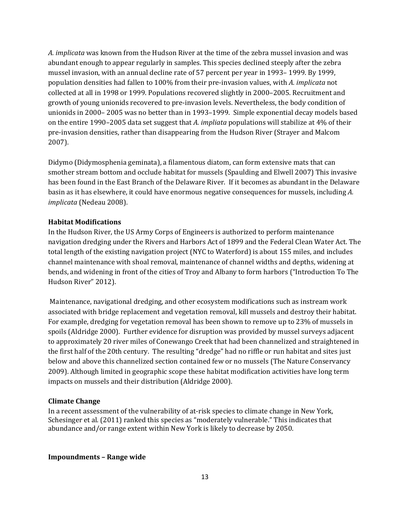*A. implicata* was known from the Hudson River at the time of the zebra mussel invasion and was abundant enough to appear regularly in samples. This species declined steeply after the zebra mussel invasion, with an annual decline rate of 57 percent per year in 1993– 1999. By 1999, population densities had fallen to 100% from their pre-invasion values, with *A. implicata* not collected at all in 1998 or 1999. Populations recovered slightly in 2000–2005. Recruitment and growth of young unionids recovered to pre-invasion levels. Nevertheless, the body condition of unionids in 2000– 2005 was no better than in 1993–1999. Simple exponential decay models based on the entire 1990–2005 data set suggest that *A. impliata* populations will stabilize at 4% of their pre-invasion densities, rather than disappearing from the Hudson River (Strayer and Malcom 2007).

Didymo (Didymosphenia geminata), a filamentous diatom, can form extensive mats that can smother stream bottom and occlude habitat for mussels (Spaulding and Elwell 2007) This invasive has been found in the East Branch of the Delaware River. If it becomes as abundant in the Delaware basin as it has elsewhere, it could have enormous negative consequences for mussels, including *A. implicata* (Nedeau 2008).

#### **Habitat Modifications**

In the Hudson River, the US Army Corps of Engineers is authorized to perform maintenance navigation dredging under the Rivers and Harbors Act of 1899 and the Federal Clean Water Act. The total length of the existing navigation project (NYC to Waterford) is about 155 miles, and includes channel maintenance with shoal removal, maintenance of channel widths and depths, widening at bends, and widening in front of the cities of Troy and Albany to form harbors ("Introduction To The Hudson River" 2012).

 spoils (Aldridge 2000). Further evidence for disruption was provided by mussel surveys adjacent Maintenance, navigational dredging, and other ecosystem modifications such as instream work associated with bridge replacement and vegetation removal, kill mussels and destroy their habitat. For example, dredging for vegetation removal has been shown to remove up to 23% of mussels in to approximately 20 river miles of Conewango Creek that had been channelized and straightened in the first half of the 20th century. The resulting "dredge" had no riffle or run habitat and sites just below and above this channelized section contained few or no mussels (The Nature Conservancy 2009). Although limited in geographic scope these habitat modification activities have long term impacts on mussels and their distribution (Aldridge 2000).

#### **Climate Change**

In a recent assessment of the vulnerability of at-risk species to climate change in New York, Schesinger et al. (2011) ranked this species as "moderately vulnerable." This indicates that abundance and/or range extent within New York is likely to decrease by 2050.

#### **Impoundments – Range wide**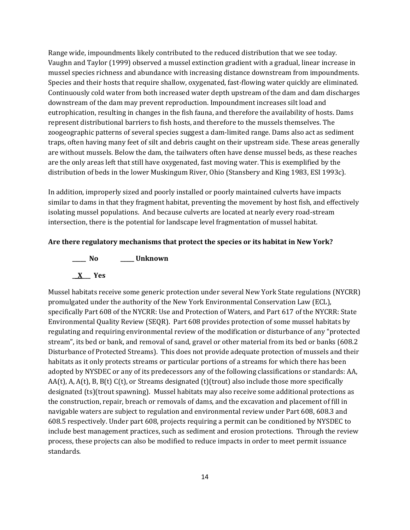Range wide, impoundments likely contributed to the reduced distribution that we see today. Vaughn and Taylor (1999) observed a mussel extinction gradient with a gradual, linear increase in mussel species richness and abundance with increasing distance downstream from impoundments. Species and their hosts that require shallow, oxygenated, fast-flowing water quickly are eliminated. Continuously cold water from both increased water depth upstream of the dam and dam discharges downstream of the dam may prevent reproduction. Impoundment increases silt load and eutrophication, resulting in changes in the fish fauna, and therefore the availability of hosts. Dams represent distributional barriers to fish hosts, and therefore to the mussels themselves. The zoogeographic patterns of several species suggest a dam-limited range. Dams also act as sediment traps, often having many feet of silt and debris caught on their upstream side. These areas generally are without mussels. Below the dam, the tailwaters often have dense mussel beds, as these reaches are the only areas left that still have oxygenated, fast moving water. This is exemplified by the distribution of beds in the lower Muskingum River, Ohio (Stansbery and King 1983, ESI 1993c).

In addition, improperly sized and poorly installed or poorly maintained culverts have impacts similar to dams in that they fragment habitat, preventing the movement by host fish, and effectively isolating mussel populations. And because culverts are located at nearly every road-stream intersection, there is the potential for landscape level fragmentation of mussel habitat.

#### **Are there regulatory mechanisms that protect the species or its habitat in New York?**

**\_\_\_\_\_ No \_\_\_\_\_ Unknown** 

# **\_\_X\_\_\_ Yes**

Mussel habitats receive some generic protection under several New York State regulations (NYCRR) promulgated under the authority of the New York Environmental Conservation Law (ECL), specifically Part 608 of the NYCRR: Use and Protection of Waters, and Part 617 of the NYCRR: State Environmental Quality Review (SEQR). Part 608 provides protection of some mussel habitats by regulating and requiring environmental review of the modification or disturbance of any "protected stream", its bed or bank, and removal of sand, gravel or other material from its bed or banks (608.2 Disturbance of Protected Streams). This does not provide adequate protection of mussels and their habitats as it only protects streams or particular portions of a streams for which there has been adopted by NYSDEC or any of its predecessors any of the following classifications or standards: AA, AA(t), A, A(t), B, B(t) C(t), or Streams designated (t)(trout) also include those more specifically designated (ts)(trout spawning). Mussel habitats may also receive some additional protections as the construction, repair, breach or removals of dams, and the excavation and placement of fill in navigable waters are subject to regulation and environmental review under Part 608, 608.3 and 608.5 respectively. Under part 608, projects requiring a permit can be conditioned by NYSDEC to include best management practices, such as sediment and erosion protections. Through the review process, these projects can also be modified to reduce impacts in order to meet permit issuance standards.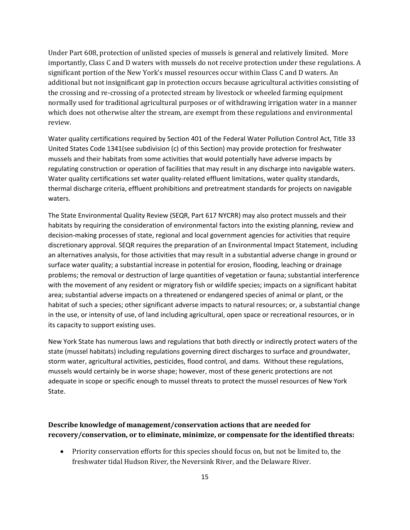Under Part 608, protection of unlisted species of mussels is general and relatively limited. More importantly, Class C and D waters with mussels do not receive protection under these regulations. A significant portion of the New York's mussel resources occur within Class C and D waters. An additional but not insignificant gap in protection occurs because agricultural activities consisting of the crossing and re-crossing of a protected stream by livestock or wheeled farming equipment normally used for traditional agricultural purposes or of withdrawing irrigation water in a manner which does not otherwise alter the stream, are exempt from these regulations and environmental review.

Water quality certifications required by Section 401 of the Federal Water Pollution Control Act, Title 33 United States Code 1341(see subdivision (c) of this Section) may provide protection for freshwater mussels and their habitats from some activities that would potentially have adverse impacts by regulating construction or operation of facilities that may result in any discharge into navigable waters. Water quality certifications set water quality-related effluent limitations, water quality standards, thermal discharge criteria, effluent prohibitions and pretreatment standards for projects on navigable waters.

The State Environmental Quality Review (SEQR, Part 617 NYCRR) may also protect mussels and their habitats by requiring the consideration of environmental factors into the existing planning, review and decision-making processes of state, regional and local government agencies for activities that require discretionary approval. SEQR requires the preparation of an Environmental Impact Statement, including an alternatives analysis, for those activities that may result in a substantial adverse change in ground or surface water quality; a substantial increase in potential for erosion, flooding, leaching or drainage problems; the removal or destruction of large quantities of vegetation or fauna; substantial interference with the movement of any resident or migratory fish or wildlife species; impacts on a significant habitat area; substantial adverse impacts on a threatened or endangered species of animal or plant, or the habitat of such a species; other significant adverse impacts to natural resources; or, a substantial change in the use, or intensity of use, of land including agricultural, open space or recreational resources, or in its capacity to support existing uses.

New York State has numerous laws and regulations that both directly or indirectly protect waters of the state (mussel habitats) including regulations governing direct discharges to surface and groundwater, storm water, agricultural activities, pesticides, flood control, and dams. Without these regulations, mussels would certainly be in worse shape; however, most of these generic protections are not adequate in scope or specific enough to mussel threats to protect the mussel resources of New York State.

# **Describe knowledge of management/conservation actions that are needed for recovery/conservation, or to eliminate, minimize, or compensate for the identified threats:**

• Priority conservation efforts for this species should focus on, but not be limited to, the freshwater tidal Hudson River, the Neversink River, and the Delaware River.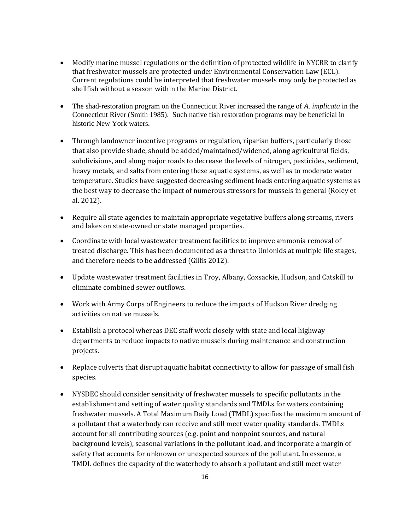- Modify marine mussel regulations or the definition of protected wildlife in NYCRR to clarify that freshwater mussels are protected under Environmental Conservation Law (ECL). Current regulations could be interpreted that freshwater mussels may only be protected as shellfish without a season within the Marine District.
- The shad-restoration program on the Connecticut River increased the range of *A. implicata* in the Connecticut River (Smith 1985). Such native fish restoration programs may be beneficial in historic New York waters.
- Through landowner incentive programs or regulation, riparian buffers, particularly those that also provide shade, should be added/maintained/widened, along agricultural fields, subdivisions, and along major roads to decrease the levels of nitrogen, pesticides, sediment, heavy metals, and salts from entering these aquatic systems, as well as to moderate water temperature. Studies have suggested decreasing sediment loads entering aquatic systems as the best way to decrease the impact of numerous stressors for mussels in general (Roley et al. 2012).
- Require all state agencies to maintain appropriate vegetative buffers along streams, rivers and lakes on state-owned or state managed properties.
- Coordinate with local wastewater treatment facilities to improve ammonia removal of treated discharge. This has been documented as a threat to Unionids at multiple life stages, and therefore needs to be addressed (Gillis 2012).
- Update wastewater treatment facilities in Troy, Albany, Coxsackie, Hudson, and Catskill to eliminate combined sewer outflows.
- Work with Army Corps of Engineers to reduce the impacts of Hudson River dredging activities on native mussels.
- Establish a protocol whereas DEC staff work closely with state and local highway departments to reduce impacts to native mussels during maintenance and construction projects.
- Replace culverts that disrupt aquatic habitat connectivity to allow for passage of small fish species.
- NYSDEC should consider sensitivity of freshwater mussels to specific pollutants in the establishment and setting of water quality standards and TMDLs for waters containing freshwater mussels. A Total Maximum Daily Load (TMDL) specifies the maximum amount of a pollutant that a waterbody can receive and still meet water quality standards. TMDLs account for all contributing sources (e.g. point and nonpoint sources, and natural background levels), seasonal variations in the pollutant load, and incorporate a margin of safety that accounts for unknown or unexpected sources of the pollutant. In essence, a TMDL defines the capacity of the waterbody to absorb a pollutant and still meet water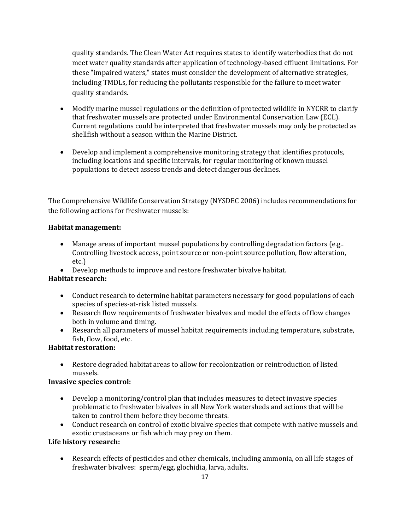quality standards. The Clean Water Act requires states to identify waterbodies that do not meet water quality standards after application of technology-based effluent limitations. For these "impaired waters," states must consider the development of alternative strategies, including TMDLs, for reducing the pollutants responsible for the failure to meet water quality standards.

- Modify marine mussel regulations or the definition of protected wildlife in NYCRR to clarify that freshwater mussels are protected under Environmental Conservation Law (ECL). Current regulations could be interpreted that freshwater mussels may only be protected as shellfish without a season within the Marine District.
- Develop and implement a comprehensive monitoring strategy that identifies protocols, including locations and specific intervals, for regular monitoring of known mussel populations to detect assess trends and detect dangerous declines.

The Comprehensive Wildlife Conservation Strategy (NYSDEC 2006) includes recommendations for the following actions for freshwater mussels:

# **Habitat management:**

- Manage areas of important mussel populations by controlling degradation factors (e.g..) Controlling livestock access, point source or non-point source pollution, flow alteration, etc.)
- Develop methods to improve and restore freshwater bivalve habitat.

# **Habitat research:**

- Conduct research to determine habitat parameters necessary for good populations of each species of species-at-risk listed mussels.
- Research flow requirements of freshwater bivalves and model the effects of flow changes both in volume and timing.
- Research all parameters of mussel habitat requirements including temperature, substrate, fish, flow, food, etc.

# **Habitat restoration:**

• Restore degraded habitat areas to allow for recolonization or reintroduction of listed mussels.

# **Invasive species control:**

- Develop a monitoring/control plan that includes measures to detect invasive species problematic to freshwater bivalves in all New York watersheds and actions that will be taken to control them before they become threats.
- Conduct research on control of exotic bivalve species that compete with native mussels and exotic crustaceans or fish which may prey on them.

# **Life history research:**

• Research effects of pesticides and other chemicals, including ammonia, on all life stages of freshwater bivalves: sperm/egg, glochidia, larva, adults.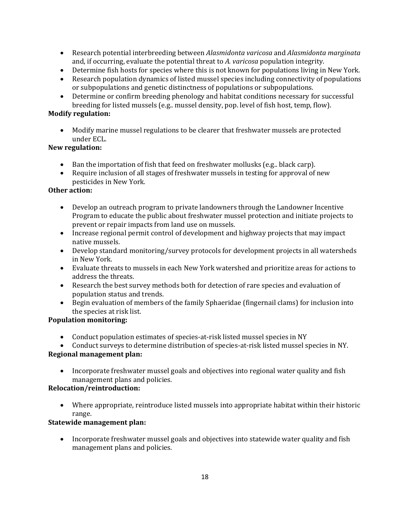- Research potential interbreeding between *Alasmidonta varicosa* and *Alasmidonta marginata*  and, if occurring, evaluate the potential threat to *A. varicosa* population integrity.
- Determine fish hosts for species where this is not known for populations living in New York.
- Research population dynamics of listed mussel species including connectivity of populations or subpopulations and genetic distinctness of populations or subpopulations.
- Determine or confirm breeding phenology and habitat conditions necessary for successful breeding for listed mussels (e.g.. mussel density, pop. level of fish host, temp, flow).

# **Modify regulation:**

• Modify marine mussel regulations to be clearer that freshwater mussels are protected under ECL.

# **New regulation:**

- Ban the importation of fish that feed on freshwater mollusks (e.g.. black carp).
- Require inclusion of all stages of freshwater mussels in testing for approval of new pesticides in New York*.*

# **Other action:**

- Develop an outreach program to private landowners through the Landowner Incentive Program to educate the public about freshwater mussel protection and initiate projects to prevent or repair impacts from land use on mussels.
- Increase regional permit control of development and highway projects that may impact native mussels.
- Develop standard monitoring/survey protocols for development projects in all watersheds in New York.
- Evaluate threats to mussels in each New York watershed and prioritize areas for actions to address the threats.
- Research the best survey methods both for detection of rare species and evaluation of population status and trends.
- Begin evaluation of members of the family Sphaeridae (fingernail clams) for inclusion into the species at risk list.

# **Population monitoring:**

- Conduct population estimates of species-at-risk listed mussel species in NY
- Conduct surveys to determine distribution of species-at-risk listed mussel species in NY.

# **Regional management plan:**

• Incorporate freshwater mussel goals and objectives into regional water quality and fish management plans and policies.

# **Relocation/reintroduction:**

• Where appropriate, reintroduce listed mussels into appropriate habitat within their historic range.

# **Statewide management plan:**

• Incorporate freshwater mussel goals and objectives into statewide water quality and fish management plans and policies.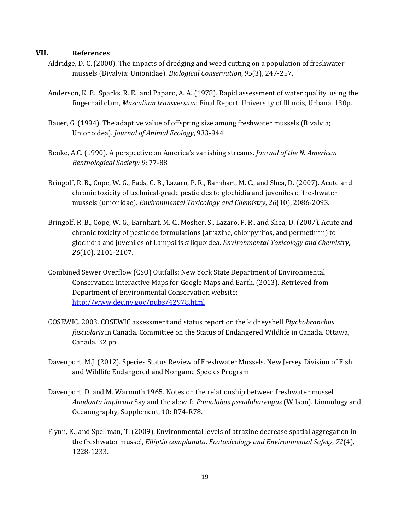#### **VII. References**

- Aldridge, D. C. (2000). The impacts of dredging and weed cutting on a population of freshwater mussels (Bivalvia: Unionidae). *Biological Conservation*, *95*(3), 247-257.
- Anderson, K. B., Sparks, R. E., and Paparo, A. A. (1978). Rapid assessment of water quality, using the fingernail clam, *Musculium transversum*: Final Report. University of Illinois, Urbana. 130p.
- Bauer, G. (1994). The adaptive value of offspring size among freshwater mussels (Bivalvia; Unionoidea). *Journal of Animal Ecology*, 933-944.
- Benke, A.C. (1990). A perspective on America's vanishing streams. *Journal of the N. American Benthological Society: 9*: 77-88
- Bringolf, R. B., Cope, W. G., Eads, C. B., Lazaro, P. R., Barnhart, M. C., and Shea, D. (2007). Acute and chronic toxicity of technical‐grade pesticides to glochidia and juveniles of freshwater mussels (unionidae). *Environmental Toxicology and Chemistry*, *26*(10), 2086-2093.
- Bringolf, R. B., Cope, W. G., Barnhart, M. C., Mosher, S., Lazaro, P. R., and Shea, D. (2007). Acute and chronic toxicity of pesticide formulations (atrazine, chlorpyrifos, and permethrin) to glochidia and juveniles of Lampsilis siliquoidea. *Environmental Toxicology and Chemistry*, *26*(10), 2101-2107.
- Combined Sewer Overflow (CSO) Outfalls: New York State Department of Environmental Conservation Interactive Maps for Google Maps and Earth. (2013). Retrieved from Department of Environmental Conservation website: <http://www.dec.ny.gov/pubs/42978.html>
- COSEWIC. 2003. COSEWIC assessment and status report on the kidneyshell *Ptychobranchus fasciolaris* in Canada. Committee on the Status of Endangered Wildlife in Canada. Ottawa, Canada. 32 pp.
- Davenport, M.J. (2012). Species Status Review of Freshwater Mussels. New Jersey Division of Fish and Wildlife Endangered and Nongame Species Program
- Davenport, D. and M. Warmuth 1965. Notes on the relationship between freshwater mussel *Anodonta implicata* Say and the alewife *Pomolobus pseudoharengus* (Wilson). Limnology and Oceanography, Supplement, 10: R74-R78.
- Flynn, K., and Spellman, T. (2009). Environmental levels of atrazine decrease spatial aggregation in the freshwater mussel, *Elliptio complanata*. *Ecotoxicology and Environmental Safety*, *72*(4), 1228-1233.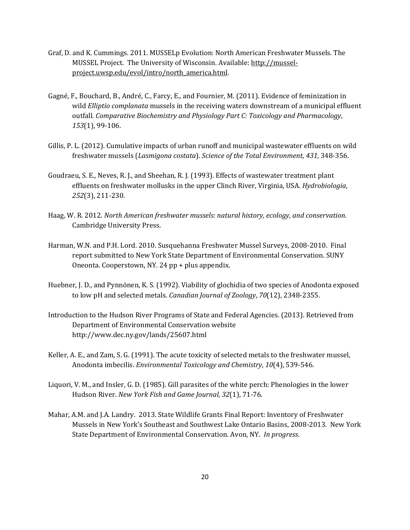- Graf, D. and K. Cummings. 2011. MUSSELp Evolution: North American Freshwater Mussels. The MUSSEL Project. The University of Wisconsin. Available: [http://mussel](http://mussel-project.uwsp.edu/evol/intro/north_america.html)[project.uwsp.edu/evol/intro/north\\_america.html.](http://mussel-project.uwsp.edu/evol/intro/north_america.html)
- Gagné, F., Bouchard, B., André, C., Farcy, E., and Fournier, M. (2011). Evidence of feminization in wild *Elliptio complanata* mussels in the receiving waters downstream of a municipal effluent outfall. *Comparative Biochemistry and Physiology Part C: Toxicology and Pharmacology*, *153*(1), 99-106.
- Gillis, P. L. (2012). Cumulative impacts of urban runoff and municipal wastewater effluents on wild freshwater mussels (*Lasmigona costata*). *Science of the Total Environment*, *431*, 348-356.
- Goudraeu, S. E., Neves, R. J., and Sheehan, R. J. (1993). Effects of wastewater treatment plant effluents on freshwater mollusks in the upper Clinch River, Virginia, USA. *Hydrobiologia*, *252*(3), 211-230.
- Haag, W. R. 2012. *North American freshwater mussels: natural history, ecology, and conservation*. Cambridge University Press.
- Harman, W.N. and P.H. Lord. 2010. Susquehanna Freshwater Mussel Surveys, 2008-2010. Final report submitted to New York State Department of Environmental Conservation. SUNY Oneonta. Cooperstown, NY. 24 pp + plus appendix.
- Huebner, J. D., and Pynnönen, K. S. (1992). Viability of glochidia of two species of Anodonta exposed to low pH and selected metals. *Canadian Journal of Zoology*, *70*(12), 2348-2355.
- Introduction to the Hudson River Programs of State and Federal Agencies. (2013). Retrieved from Department of Environmental Conservation website <http://www.dec.ny.gov/lands/25607.html>
- Keller, A. E., and Zam, S. G. (1991). The acute toxicity of selected metals to the freshwater mussel, Anodonta imbecilis. *Environmental Toxicology and Chemistry*, *10*(4), 539-546.
- Liquori, V. M., and Insler, G. D. (1985). Gill parasites of the white perch: Phenologies in the lower Hudson River. *New York Fish and Game Journal*, *32*(1), 71-76.
- Mahar, A.M. and J.A. Landry. 2013. State Wildlife Grants Final Report: Inventory of Freshwater Mussels in New York's Southeast and Southwest Lake Ontario Basins, 2008-2013. New York State Department of Environmental Conservation. Avon, NY. *In progress*.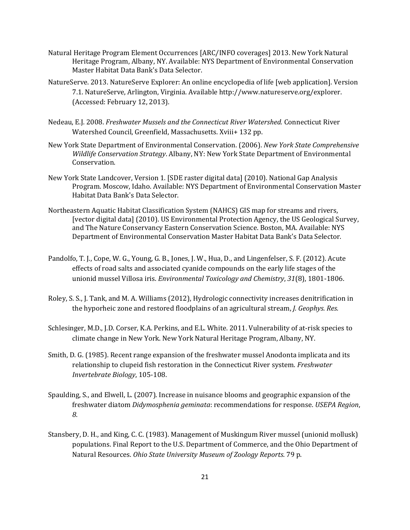- Natural Heritage Program Element Occurrences [ARC/INFO coverages] 2013. New York Natural Heritage Program, Albany, NY. Available: NYS Department of Environmental Conservation Master Habitat Data Bank's Data Selector.
- NatureServe. 2013. NatureServe Explorer: An online encyclopedia of life [web application]. Version 7.1. NatureServe, Arlington, Virginia. Available [http://www.natureserve.org/explorer.](http://www.natureserve.org/explorer) (Accessed: February 12, 2013).
- Nedeau, E.J. 2008. *Freshwater Mussels and the Connecticut River Watershed.* Connecticut River Watershed Council, Greenfield, Massachusetts. Xviii+ 132 pp.
- New York State Department of Environmental Conservation. (2006). *New York State Comprehensive Wildlife Conservation Strategy*. Albany, NY: New York State Department of Environmental Conservation.
- New York State Landcover, Version 1. [SDE raster digital data] (2010). National Gap Analysis Program. Moscow, Idaho. Available: NYS Department of Environmental Conservation Master Habitat Data Bank's Data Selector.
- Northeastern Aquatic Habitat Classification System (NAHCS) GIS map for streams and rivers, [vector digital data] (2010). US Environmental Protection Agency, the US Geological Survey, and The Nature Conservancy Eastern Conservation Science. Boston, MA. Available: NYS Department of Environmental Conservation Master Habitat Data Bank's Data Selector.
- Pandolfo, T. J., Cope, W. G., Young, G. B., Jones, J. W., Hua, D., and Lingenfelser, S. F. (2012). Acute effects of road salts and associated cyanide compounds on the early life stages of the unionid mussel Villosa iris. *Environmental Toxicology and Chemistry*, *31*(8), 1801-1806.
- Roley, S. S., J. Tank, and M. A. Williams (2012), Hydrologic connectivity increases denitrification in the hyporheic zone and restored floodplains of an agricultural stream, *J. Geophys. Res.*
- Schlesinger, M.D., J.D. Corser, K.A. Perkins, and E.L. White. 2011. Vulnerability of at-risk species to climate change in New York. New York Natural Heritage Program, Albany, NY.
- Smith, D. G. (1985). Recent range expansion of the freshwater mussel Anodonta implicata and its relationship to clupeid fish restoration in the Connecticut River system. *Freshwater Invertebrate Biology*, 105-108.
- Spaulding, S., and Elwell, L. (2007). Increase in nuisance blooms and geographic expansion of the freshwater diatom *Didymosphenia geminata*: recommendations for response. *USEPA Region*, *8*.
- Stansbery, D. H., and King, C. C. (1983). Management of Muskingum River mussel (unionid mollusk) populations. Final Report to the U.S. Department of Commerce, and the Ohio Department of Natural Resources. *Ohio State University Museum of Zoology Reports*. 79 p.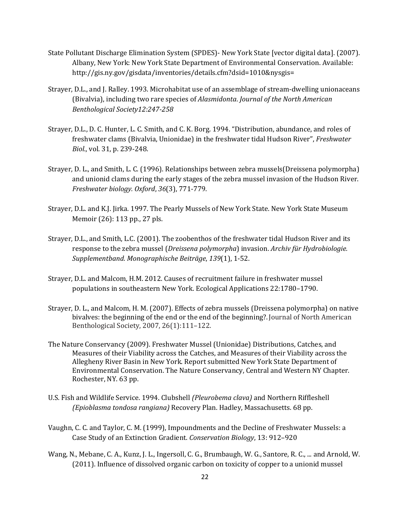- State Pollutant Discharge Elimination System (SPDES)- New York State [vector digital data]. (2007). Albany, New York: New York State Department of Environmental Conservation. Available: [http://gis.ny.gov/gisdata/inventories/details.cfm?dsid=1010&nysgis=](http://gis.ny.gov/gisdata/inventories/details.cfm?dsid=1010&nysgis)
- Strayer, D.L., and J. Ralley. 1993. Microhabitat use of an assemblage of stream-dwelling unionaceans (Bivalvia), including two rare species of *Alasmidonta*. *Journal of the North American Benthological Society12:247-258*
- [Strayer,](http://www.caryinstitute.org/science-program/publications?f%5bauthor%5d=3145) D.L.[, D. C. Hunter,](http://www.caryinstitute.org/science-program/publications?f%5bauthor%5d=483) [L. C. Smith,](http://www.caryinstitute.org/science-program/publications?f%5bauthor%5d=413) and [C. K. Borg.](http://www.caryinstitute.org/science-program/publications?f%5bauthor%5d=484) 1994. "[Distribution, abundance, and roles of](http://www.caryinstitute.org/publications/distribution-abundance-and-roles-freshwater-clams-bivalvia-unionidae-freshwater-tidal)  [freshwater clams \(Bivalvia, Unionidae\) in the freshwater tidal Hudson River](http://www.caryinstitute.org/publications/distribution-abundance-and-roles-freshwater-clams-bivalvia-unionidae-freshwater-tidal)", *Freshwater Biol.*, vol. 31, p. 239-248.
- Strayer, D. L., and Smith, L. C. (1996). Relationships between zebra mussels(Dreissena polymorpha) and unionid clams during the early stages of the zebra mussel invasion of the Hudson River. *Freshwater biology. Oxford*, *36*(3), 771-779.
- Strayer, D.L. and K.J. Jirka. 1997. The Pearly Mussels of New York State. New York State Museum Memoir (26): 113 pp., 27 pls.
- Strayer, D.L., and Smith, L.C. (2001). The zoobenthos of the freshwater tidal Hudson River and its response to the zebra mussel (*Dreissena polymorpha*) invasion. *Archiv für Hydrobiologie. Supplementband. Monographische Beiträge*, *139*(1), 1-52.
- Strayer, D.L. and Malcom, H.M. 2012. Causes of recruitment failure in freshwater mussel populations in southeastern New York. Ecological Applications 22:1780–1790.
- Strayer, D. L., and Malcom, H. M. (2007). Effects of zebra mussels (Dreissena polymorpha) on native bivalves: the beginning of the end or the end of the beginning?. Journal of North American Benthological Society, 2007, 26(1):111–122.
- The Nature Conservancy (2009). Freshwater Mussel (Unionidae) Distributions, Catches, and Measures of their Viability across the Catches, and Measures of their Viability across the Allegheny River Basin in New York. Report submitted New York State Department of Environmental Conservation. The Nature Conservancy, Central and Western NY Chapter. Rochester, NY. 63 pp.
- U.S. Fish and Wildlife Service. 1994. Clubshell *(Pleurobema clava)* and Northern Riffleshell *(Epioblasma tondosa rangiana)* Recovery Plan. Hadley, Massachusetts. 68 pp.
- Vaughn, C. C. and Taylor, C. M. (1999), Impoundments and the Decline of Freshwater Mussels: a Case Study of an Extinction Gradient. *Conservation Biology*, 13: 912–920
- Wang, N., Mebane, C. A., Kunz, J. L., Ingersoll, C. G., Brumbaugh, W. G., Santore, R. C., ... and Arnold, W. (2011). Influence of dissolved organic carbon on toxicity of copper to a unionid mussel